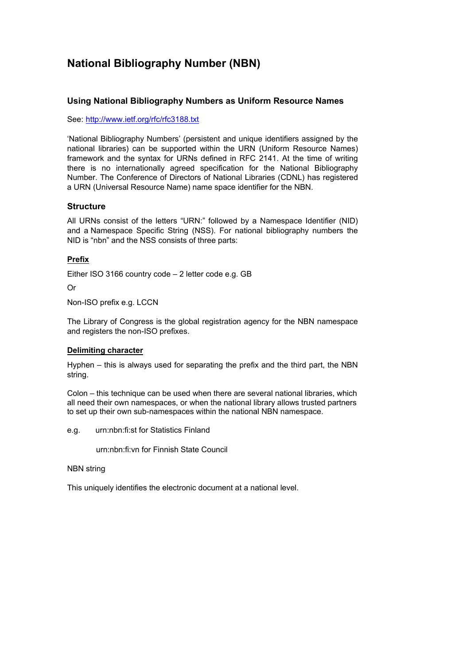# **National Bibliography Number (NBN)**

# **Using National Bibliography Numbers as Uniform Resource Names**

See: <http://www.ietf.org/rfc/rfc3188.txt>

'National Bibliography Numbers' (persistent and unique identifiers assigned by the national libraries) can be supported within the URN (Uniform Resource Names) framework and the syntax for URNs defined in RFC 2141. At the time of writing there is no internationally agreed specification for the National Bibliography Number. The Conference of Directors of National Libraries (CDNL) has registered a URN (Universal Resource Name) name space identifier for the NBN.

### **Structure**

All URNs consist of the letters "URN:" followed by a Namespace Identifier (NID) and a Namespace Specific String (NSS). For national bibliography numbers the NID is "nbn" and the NSS consists of three parts:

# **Prefix**

Either ISO 3166 country code – 2 letter code e.g. GB

Or

Non-ISO prefix e.g. LCCN

The Library of Congress is the global registration agency for the NBN namespace and registers the non-ISO prefixes.

### **Delimiting character**

Hyphen – this is always used for separating the prefix and the third part, the NBN string.

Colon – this technique can be used when there are several national libraries, which all need their own namespaces, or when the national library allows trusted partners to set up their own sub-namespaces within the national NBN namespace.

e.g. urn:nbn:fi:st for Statistics Finland

urn:nbn:fi:vn for Finnish State Council

NBN string

This uniquely identifies the electronic document at a national level.